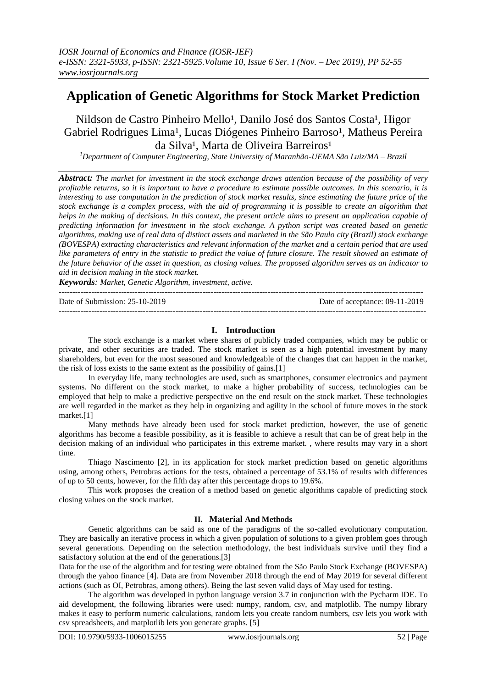# **Application of Genetic Algorithms for Stock Market Prediction**

Nildson de Castro Pinheiro Mello<sup>1</sup>, Danilo José dos Santos Costa<sup>1</sup>, Higor Gabriel Rodrigues Lima<sup>1</sup>, Lucas Diógenes Pinheiro Barroso<sup>1</sup>, Matheus Pereira da Silva<sup>1</sup>, Marta de Oliveira Barreiros<sup>1</sup>

*<sup>1</sup>Department of Computer Engineering, State University of Maranhão-UEMA São Luiz/MA – Brazil*

*Abstract: The market for investment in the stock exchange draws attention because of the possibility of very profitable returns, so it is important to have a procedure to estimate possible outcomes. In this scenario, it is interesting to use computation in the prediction of stock market results, since estimating the future price of the stock exchange is a complex process, with the aid of programming it is possible to create an algorithm that helps in the making of decisions. In this context, the present article aims to present an application capable of predicting information for investment in the stock exchange. A python script was created based on genetic algorithms, making use of real data of distinct assets and marketed in the São Paulo city (Brazil) stock exchange (BOVESPA) extracting characteristics and relevant information of the market and a certain period that are used*  like parameters of entry in the statistic to predict the value of future closure. The result showed an estimate of *the future behavior of the asset in question, as closing values. The proposed algorithm serves as an indicator to aid in decision making in the stock market.*

*Keywords: Market, Genetic Algorithm, investment, active.*

Date of Submission: 25-10-2019 Date of acceptance: 09-11-2019

## **I. Introduction**

--------------------------------------------------------------------------------------------------------------------------------------

---------------------------------------------------------------------------------------------------------------------------------------

The stock exchange is a market where shares of publicly traded companies, which may be public or private, and other securities are traded. The stock market is seen as a high potential investment by many shareholders, but even for the most seasoned and knowledgeable of the changes that can happen in the market, the risk of loss exists to the same extent as the possibility of gains.[1]

In everyday life, many technologies are used, such as smartphones, consumer electronics and payment systems. No different on the stock market, to make a higher probability of success, technologies can be employed that help to make a predictive perspective on the end result on the stock market. These technologies are well regarded in the market as they help in organizing and agility in the school of future moves in the stock market.[1]

Many methods have already been used for stock market prediction, however, the use of genetic algorithms has become a feasible possibility, as it is feasible to achieve a result that can be of great help in the decision making of an individual who participates in this extreme market. , where results may vary in a short time.

Thiago Nascimento [2], in its application for stock market prediction based on genetic algorithms using, among others, Petrobras actions for the tests, obtained a percentage of 53.1% of results with differences of up to 50 cents, however, for the fifth day after this percentage drops to 19.6%.

This work proposes the creation of a method based on genetic algorithms capable of predicting stock closing values on the stock market.

## **II. Material And Methods**

Genetic algorithms can be said as one of the paradigms of the so-called evolutionary computation. They are basically an iterative process in which a given population of solutions to a given problem goes through several generations. Depending on the selection methodology, the best individuals survive until they find a satisfactory solution at the end of the generations.<sup>[3]</sup>

Data for the use of the algorithm and for testing were obtained from the São Paulo Stock Exchange (BOVESPA) through the yahoo finance [4]. Data are from November 2018 through the end of May 2019 for several different actions (such as OI, Petrobras, among others). Being the last seven valid days of May used for testing.

The algorithm was developed in python language version 3.7 in conjunction with the Pycharm IDE. To aid development, the following libraries were used: numpy, random, csv, and matplotlib. The numpy library makes it easy to perform numeric calculations, random lets you create random numbers, csv lets you work with csv spreadsheets, and matplotlib lets you generate graphs. [5]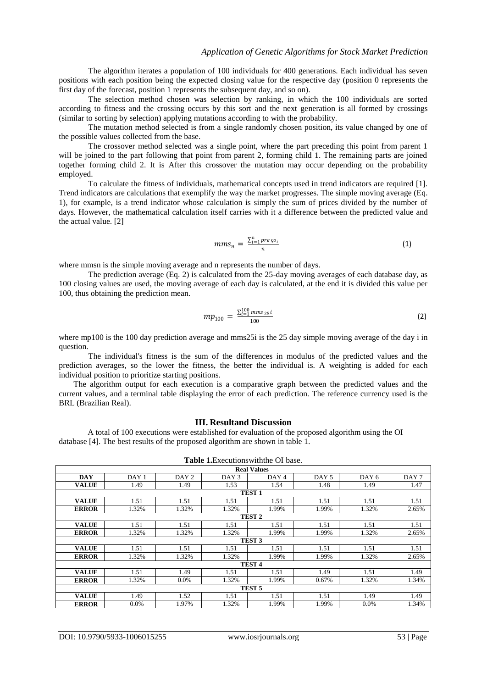The algorithm iterates a population of 100 individuals for 400 generations. Each individual has seven positions with each position being the expected closing value for the respective day (position 0 represents the first day of the forecast, position 1 represents the subsequent day, and so on).

The selection method chosen was selection by ranking, in which the 100 individuals are sorted according to fitness and the crossing occurs by this sort and the next generation is all formed by crossings (similar to sorting by selection) applying mutations according to with the probability.

The mutation method selected is from a single randomly chosen position, its value changed by one of the possible values collected from the base.

The crossover method selected was a single point, where the part preceding this point from parent 1 will be joined to the part following that point from parent 2, forming child 1. The remaining parts are joined together forming child 2. It is After this crossover the mutation may occur depending on the probability employed.

To calculate the fitness of individuals, mathematical concepts used in trend indicators are required [1]. Trend indicators are calculations that exemplify the way the market progresses. The simple moving average (Eq. 1), for example, is a trend indicator whose calculation is simply the sum of prices divided by the number of days. However, the mathematical calculation itself carries with it a difference between the predicted value and the actual value. [2]

$$
mms_n = \frac{\sum_{i=1}^n \text{pre} \varsigma o_i}{n} \tag{1}
$$

where mmsn is the simple moving average and n represents the number of days.

The prediction average (Eq. 2) is calculated from the 25-day moving averages of each database day, as 100 closing values are used, the moving average of each day is calculated, at the end it is divided this value per 100, thus obtaining the prediction mean.

$$
mp_{100} = \frac{\sum_{i=1}^{100} \text{mms}_{25} i}{100} \tag{2}
$$

where mp100 is the 100 day prediction average and mms25i is the 25 day simple moving average of the day i in question.

The individual's fitness is the sum of the differences in modulus of the predicted values and the prediction averages, so the lower the fitness, the better the individual is. A weighting is added for each individual position to prioritize starting positions.

The algorithm output for each execution is a comparative graph between the predicted values and the current values, and a terminal table displaying the error of each prediction. The reference currency used is the BRL (Brazilian Real).

#### **III. Resultand Discussion**

A total of 100 executions were established for evaluation of the proposed algorithm using the OI database [4]. The best results of the proposed algorithm are shown in table 1.

|                    |       |                  | <b>Table 1.</b> Executions with the OI base. |                  |       |         |                  |  |  |
|--------------------|-------|------------------|----------------------------------------------|------------------|-------|---------|------------------|--|--|
| <b>Real Values</b> |       |                  |                                              |                  |       |         |                  |  |  |
| <b>DAY</b>         | DAY 1 | DAY <sub>2</sub> | DAY 3                                        | DAY <sub>4</sub> | DAY 5 | DAY 6   | DAY <sub>7</sub> |  |  |
| <b>VALUE</b>       | 1.49  | 1.49             | 1.53                                         | 1.54             | 1.48  | 1.49    | 1.47             |  |  |
|                    |       |                  | TEST <sub>1</sub>                            |                  |       |         |                  |  |  |
| <b>VALUE</b>       | 1.51  | 1.51             | 1.51                                         | 1.51             | 1.51  | 1.51    | 1.51             |  |  |
| <b>ERROR</b>       | 1.32% | 1.32%            | 1.32%                                        | 1.99%            | 1.99% | 1.32%   | 2.65%            |  |  |
|                    |       |                  | <b>TEST 2</b>                                |                  |       |         |                  |  |  |
| <b>VALUE</b>       | 1.51  | 1.51             | 1.51                                         | 1.51             | 1.51  | 1.51    | 1.51             |  |  |
| <b>ERROR</b>       | 1.32% | 1.32%            | 1.32%                                        | 1.99%            | 1.99% | 1.32%   | 2.65%            |  |  |
|                    |       |                  | <b>TEST 3</b>                                |                  |       |         |                  |  |  |
| <b>VALUE</b>       | 1.51  | 1.51             | 1.51                                         | 1.51             | 1.51  | 1.51    | 1.51             |  |  |
| <b>ERROR</b>       | 1.32% | 1.32%            | 1.32%                                        | 1.99%            | 1.99% | 1.32%   | 2.65%            |  |  |
|                    |       |                  | TEST <sub>4</sub>                            |                  |       |         |                  |  |  |
| <b>VALUE</b>       | 1.51  | 1.49             | 1.51                                         | 1.51             | 1.49  | 1.51    | 1.49             |  |  |
| <b>ERROR</b>       | 1.32% | $0.0\%$          | 1.32%                                        | 1.99%            | 0.67% | 1.32%   | 1.34%            |  |  |
|                    |       |                  | TEST <sub>5</sub>                            |                  |       |         |                  |  |  |
| <b>VALUE</b>       | 1.49  | 1.52             | 1.51                                         | 1.51             | 1.51  | 1.49    | 1.49             |  |  |
| <b>ERROR</b>       | 0.0%  | 1.97%            | 1.32%                                        | 1.99%            | 1.99% | $0.0\%$ | 1.34%            |  |  |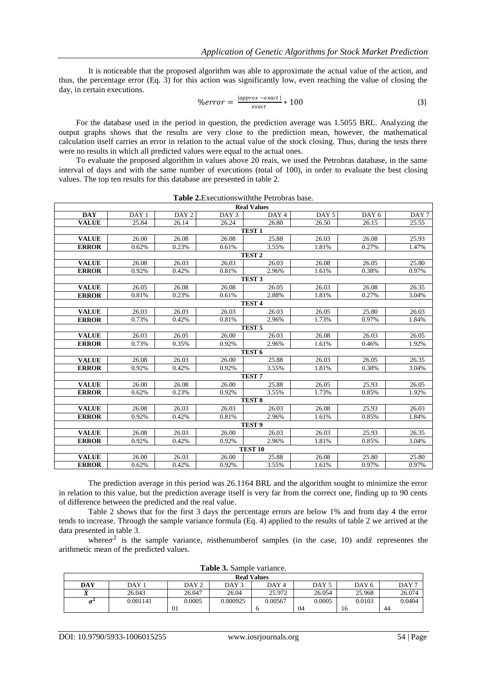It is noticeable that the proposed algorithm was able to approximate the actual value of the action, and thus, the percentage error (Eq. 3) for this action was significantly low, even reaching the value of closing the day, in certain executions.

$$
\%error = \frac{|approx -exact|}{exact} * 100 \tag{3}
$$

For the database used in the period in question, the prediction average was 1.5055 BRL. Analyzing the output graphs shows that the results are very close to the prediction mean, however, the mathematical calculation itself carries an error in relation to the actual value of the stock closing. Thus, during the tests there were no results in which all predicted values were equal to the actual ones.

To evaluate the proposed algorithm in values above 20 reais, we used the Petrobras database, in the same interval of days and with the same number of executions (total of 100), in order to evaluate the best closing values. The top ten results for this database are presented in table 2.

| <b>Real Values</b> |                  |                  |       |                   |       |                  |       |  |  |
|--------------------|------------------|------------------|-------|-------------------|-------|------------------|-------|--|--|
| <b>DAY</b>         | DAY <sub>1</sub> | DAY <sub>2</sub> | DAY 3 | DAY 4             | DAY 5 | DAY <sub>6</sub> | DAY 7 |  |  |
| <b>VALUE</b>       | 25.84            | 26.14            | 26.24 | 26.80             | 26.50 | 26.15            | 25.55 |  |  |
| TEST <sub>1</sub>  |                  |                  |       |                   |       |                  |       |  |  |
| <b>VALUE</b>       | 26.00            | 26.08            | 26.08 | 25.88             | 26.03 | 26.08            | 25.93 |  |  |
| <b>ERROR</b>       | 0.62%            | 0.23%            | 0.61% | 3.55%             | 1.81% | 0.27%            | 1.47% |  |  |
| TEST <sub>2</sub>  |                  |                  |       |                   |       |                  |       |  |  |
| <b>VALUE</b>       | 26.08            | 26.03            | 26.03 | 26.03             | 26.08 | 26.05            | 25.80 |  |  |
| <b>ERROR</b>       | 0.92%            | 0.42%            | 0.81% | 2.96%             | 1.61% | 0.38%            | 0.97% |  |  |
|                    |                  |                  |       | TEST <sub>3</sub> |       |                  |       |  |  |
| <b>VALUE</b>       | 26.05            | 26.08            | 26.08 | 26.05             | 26.03 | 26.08            | 26.35 |  |  |
| <b>ERROR</b>       | 0.81%            | 0.23%            | 0.61% | 2.88%             | 1.81% | 0.27%            | 3.04% |  |  |
| TEST <sub>4</sub>  |                  |                  |       |                   |       |                  |       |  |  |
| <b>VALUE</b>       | 26.03            | 26.03            | 26.03 | 26.03             | 26.05 | 25.80            | 26.03 |  |  |
| <b>ERROR</b>       | 0.73%            | 0.42%            | 0.81% | 2.96%             | 1.73% | 0.97%            | 1.84% |  |  |
|                    |                  |                  |       | TEST <sub>5</sub> |       |                  |       |  |  |
| <b>VALUE</b>       | 26.03            | 26.05            | 26.00 | 26.03             | 26.08 | 26.03            | 26.05 |  |  |
| <b>ERROR</b>       | 0.73%            | 0.35%            | 0.92% | 2.96%             | 1.61% | 0.46%            | 1.92% |  |  |
|                    |                  |                  |       | TEST <sub>6</sub> |       |                  |       |  |  |
| <b>VALUE</b>       | 26.08            | 26.03            | 26.00 | 25.88             | 26.03 | 26.05            | 26.35 |  |  |
| <b>ERROR</b>       | 0.92%            | 0.42%            | 0.92% | 3.55%             | 1.81% | 0.38%            | 3.04% |  |  |
|                    |                  |                  |       | TEST <sub>7</sub> |       |                  |       |  |  |
| <b>VALUE</b>       | 26.00            | 26.08            | 26.00 | 25.88             | 26.05 | 25.93            | 26.05 |  |  |
| <b>ERROR</b>       | 0.62%            | 0.23%            | 0.92% | 3.55%             | 1.73% | 0.85%            | 1.92% |  |  |
|                    |                  |                  |       | TEST <sub>8</sub> |       |                  |       |  |  |
| <b>VALUE</b>       | 26.08            | 26.03            | 26.03 | 26.03             | 26.08 | 25.93            | 26.03 |  |  |
| <b>ERROR</b>       | 0.92%            | 0.42%            | 0.81% | 2.96%             | 1.61% | 0.85%            | 1.84% |  |  |
|                    |                  |                  |       | TEST <sub>9</sub> |       |                  |       |  |  |
| <b>VALUE</b>       | 26.08            | 26.03            | 26.00 | 26.03             | 26.03 | 25.93            | 26.35 |  |  |
| <b>ERROR</b>       | 0.92%            | 0.42%            | 0.92% | 2.96%             | 1.81% | 0.85%            | 3.04% |  |  |
| <b>TEST 10</b>     |                  |                  |       |                   |       |                  |       |  |  |
| <b>VALUE</b>       | 26.00            | 26.03            | 26.00 | 25.88             | 26.08 | 25.80            | 25.80 |  |  |
| <b>ERROR</b>       | 0.62%            | 0.42%            | 0.92% | 3.55%             | 1.61% | 0.97%            | 0.97% |  |  |

**Table 2.**Executionswiththe Petrobras base.

The prediction average in this period was 26.1164 BRL and the algorithm sought to minimize the error in relation to this value, but the prediction average itself is very far from the correct one, finding up to 90 cents of difference between the predicted and the real value.

Table 2 shows that for the first 3 days the percentage errors are below 1% and from day 4 the error tends to increase. Through the sample variance formula (Eq. 4) applied to the results of table 2 we arrived at the data presented in table 3.

where  $\sigma^2$  is the sample variance, *n*isthenumber of samples (in the case, 10) and  $\bar{x}$  representes the arithmetic mean of the predicted values.

| <b>Table 3.</b> Sallible valiance. |                  |                  |          |                  |        |        |                  |
|------------------------------------|------------------|------------------|----------|------------------|--------|--------|------------------|
| <b>Real Values</b>                 |                  |                  |          |                  |        |        |                  |
| DAY                                | DAY <sub>1</sub> | DAY <sub>2</sub> | DAY 3    | DAY <sub>4</sub> | DAY 5  | DAY 6  | DAY <sub>7</sub> |
|                                    | 26.043           | 26.047           | 26.04    | 25.972           | 26.054 | 25.968 | 26.074           |
| $\sigma^2$                         | 0.001141         | 0.0005           | 0.000925 | 0.00567          | 0.0005 | 0.0103 | 0.0404           |
|                                    |                  | $\Omega$         |          |                  | 04     | 16     | 44               |

**Table 3.** Sample variance.